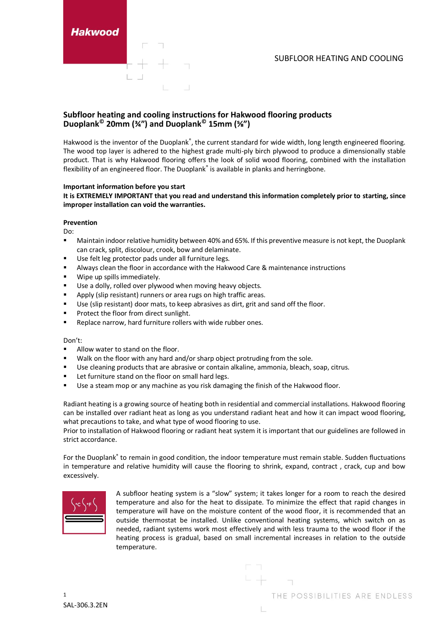Hakwood

# **Subfloor heating and cooling instructions for Hakwood flooring products Duoplank© 20mm (¾") and Duoplank© 15mm (⅝")**

Hakwood is the inventor of the Duoplank®, the current standard for wide width, long length engineered flooring. The wood top layer is adhered to the highest grade multi-ply birch plywood to produce a dimensionally stable product. That is why Hakwood flooring offers the look of solid wood flooring, combined with the installation flexibility of an engineered floor. The Duoplank<sup>®</sup> is available in planks and herringbone.

# **Important information before you start**

**It is EXTREMELY IMPORTANT that you read and understand this information completely prior to starting, since improper installation can void the warranties.**

## **Prevention**

Do:

- Maintain indoor relative humidity between 40% and 65%. If this preventive measure is not kept, the Duoplank can crack, split, discolour, crook, bow and delaminate.
- Use felt leg protector pads under all furniture legs.
- Always clean the floor in accordance with the Hakwood Care & maintenance instructions
- Wipe up spills immediately.
- Use a dolly, rolled over plywood when moving heavy objects.
- Apply (slip resistant) runners or area rugs on high traffic areas.
- Use (slip resistant) door mats, to keep abrasives as dirt, grit and sand off the floor.
- Protect the floor from direct sunlight.
- Replace narrow, hard furniture rollers with wide rubber ones.

# Don't:

- **Allow water to stand on the floor.**
- Walk on the floor with any hard and/or sharp object protruding from the sole.
- Use cleaning products that are abrasive or contain alkaline, ammonia, bleach, soap, citrus.
- Let furniture stand on the floor on small hard legs.
- Use a steam mop or any machine as you risk damaging the finish of the Hakwood floor.

Radiant heating is a growing source of heating both in residential and commercial installations. Hakwood flooring can be installed over radiant heat as long as you understand radiant heat and how it can impact wood flooring, what precautions to take, and what type of wood flooring to use.

Prior to installation of Hakwood flooring or radiant heat system it is important that our guidelines are followed in strict accordance.

For the Duoplank® to remain in good condition, the indoor temperature must remain stable. Sudden fluctuations in temperature and relative humidity will cause the flooring to shrink, expand, contract , crack, cup and bow excessively.



A subfloor heating system is a "slow" system; it takes longer for a room to reach the desired temperature and also for the heat to dissipate. To minimize the effect that rapid changes in temperature will have on the moisture content of the wood floor, it is recommended that an outside thermostat be installed. Unlike conventional heating systems, which switch on as needed, radiant systems work most effectively and with less trauma to the wood floor if the heating process is gradual, based on small incremental increases in relation to the outside temperature.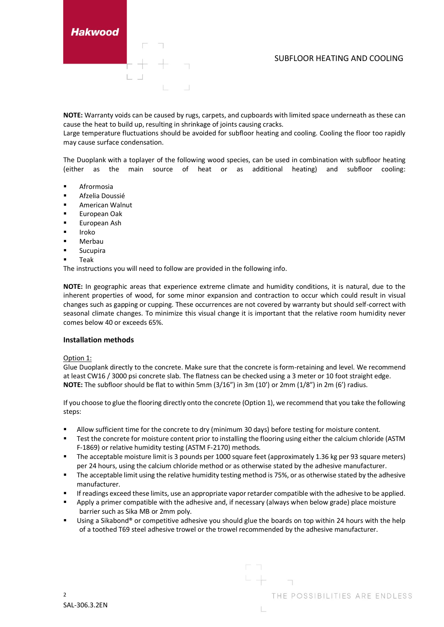**NOTE:** Warranty voids can be caused by rugs, carpets, and cupboards with limited space underneath as these can cause the heat to build up, resulting in shrinkage of joints causing cracks.

Large temperature fluctuations should be avoided for subfloor heating and cooling. Cooling the floor too rapidly may cause surface condensation.

The Duoplank with a toplayer of the following wood species, can be used in combination with subfloor heating (either as the main source of heat or as additional heating) and subfloor cooling:

- Afrormosia
- Afzelia Doussié

Hakwood

- American Walnut
- European Oak
- European Ash
- Iroko
- Merbau
- Sucupira
- Teak

The instructions you will need to follow are provided in the following info.

**NOTE:** In geographic areas that experience extreme climate and humidity conditions, it is natural, due to the inherent properties of wood, for some minor expansion and contraction to occur which could result in visual changes such as gapping or cupping. These occurrences are not covered by warranty but should self-correct with seasonal climate changes. To minimize this visual change it is important that the relative room humidity never comes below 40 or exceeds 65%.

#### **Installation methods**

#### Option 1:

Glue Duoplank directly to the concrete. Make sure that the concrete is form-retaining and level. We recommend at least CW16 / 3000 psi concrete slab. The flatness can be checked using a 3 meter or 10 foot straight edge. **NOTE:** The subfloor should be flat to within 5mm (3/16") in 3m (10') or 2mm (1/8") in 2m (6') radius.

If you choose to glue the flooring directly onto the concrete (Option 1), we recommend that you take the following steps:

- Allow sufficient time for the concrete to dry (minimum 30 days) before testing for moisture content.
- Test the concrete for moisture content prior to installing the flooring using either the calcium chloride (ASTM F-1869) or relative humidity testing (ASTM F-2170) methods.
- The acceptable moisture limit is 3 pounds per 1000 square feet (approximately 1.36 kg per 93 square meters) per 24 hours, using the calcium chloride method or as otherwise stated by the adhesive manufacturer.
- The acceptable limit using the relative humidity testing method is 75%, or as otherwise stated by the adhesive manufacturer.
- If readings exceed these limits, use an appropriate vapor retarder compatible with the adhesive to be applied.
- Apply a primer compatible with the adhesive and, if necessary (always when below grade) place moisture barrier such as Sika MB or 2mm poly.
- Using a Sikabond® or competitive adhesive you should glue the boards on top within 24 hours with the help of a toothed T69 steel adhesive trowel or the trowel recommended by the adhesive manufacturer.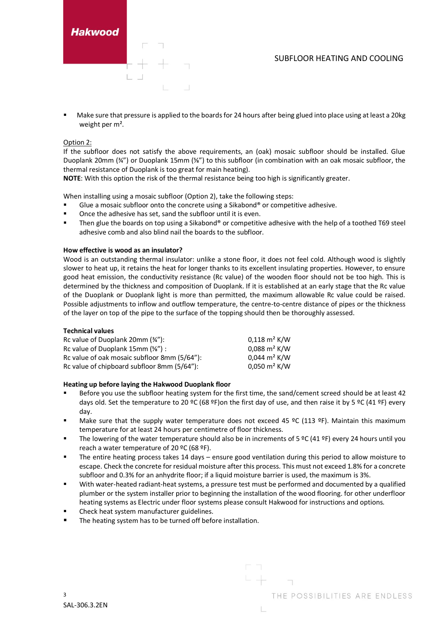Make sure that pressure is applied to the boards for 24 hours after being glued into place using at least a 20kg weight per m².

## Option 2:

If the subfloor does not satisfy the above requirements, an (oak) mosaic subfloor should be installed. Glue Duoplank 20mm (¾") or Duoplank 15mm (⅝") to this subfloor (in combination with an oak mosaic subfloor, the thermal resistance of Duoplank is too great for main heating).

**NOTE**: With this option the risk of the thermal resistance being too high is significantly greater.

When installing using a mosaic subfloor (Option 2), take the following steps:

- Glue a mosaic subfloor onto the concrete using a Sikabond® or competitive adhesive.
- Once the adhesive has set, sand the subfloor until it is even.
- Then glue the boards on top using a Sikabond® or competitive adhesive with the help of a toothed T69 steel adhesive comb and also blind nail the boards to the subfloor.

#### **How effective is wood as an insulator?**

Wood is an outstanding thermal insulator: unlike a stone floor, it does not feel cold. Although wood is slightly slower to heat up, it retains the heat for longer thanks to its excellent insulating properties. However, to ensure good heat emission, the conductivity resistance (Rc value) of the wooden floor should not be too high. This is determined by the thickness and composition of Duoplank. If it is established at an early stage that the Rc value of the Duoplank or Duoplank light is more than permitted, the maximum allowable Rc value could be raised. Possible adjustments to inflow and outflow temperature, the centre-to-centre distance of pipes or the thickness of the layer on top of the pipe to the surface of the topping should then be thoroughly assessed.

#### **Technical values**

| Rc value of Duoplank 20mm (34"):             | $0.118 \text{ m}^2 \text{ K/W}$ |
|----------------------------------------------|---------------------------------|
| Rc value of Duoplank 15mm (%") :             | $0.088 \text{ m}^2 \text{ K/W}$ |
| Rc value of oak mosaic subfloor 8mm (5/64"): | $0.044 \text{ m}^2 \text{ K/W}$ |
| Rc value of chipboard subfloor 8mm (5/64"):  | $0.050 \text{ m}^2 \text{ K/W}$ |

#### **Heating up before laying the Hakwood Duoplank floor**

- Before you use the subfloor heating system for the first time, the sand/cement screed should be at least 42 days old. Set the temperature to 20 ºC (68 ºF)on the first day of use, and then raise it by 5 ºC (41 ºF) every day.
- Make sure that the supply water temperature does not exceed 45 °C (113 °F). Maintain this maximum temperature for at least 24 hours per centimetre of floor thickness.
- The lowering of the water temperature should also be in increments of 5  $2C$  (41 °F) every 24 hours until you reach a water temperature of 20 ºC (68 ºF).
- The entire heating process takes 14 days ensure good ventilation during this period to allow moisture to escape. Check the concrete for residual moisture after this process. This must not exceed 1.8% for a concrete subfloor and 0.3% for an anhydrite floor; if a liquid moisture barrier is used, the maximum is 3%.
- With water-heated radiant-heat systems, a pressure test must be performed and documented by a qualified plumber or the system installer prior to beginning the installation of the wood flooring. for other underfloor heating systems as Electric under floor systems please consult Hakwood for instructions and options.
- Check heat system manufacturer guidelines.
- The heating system has to be turned off before installation.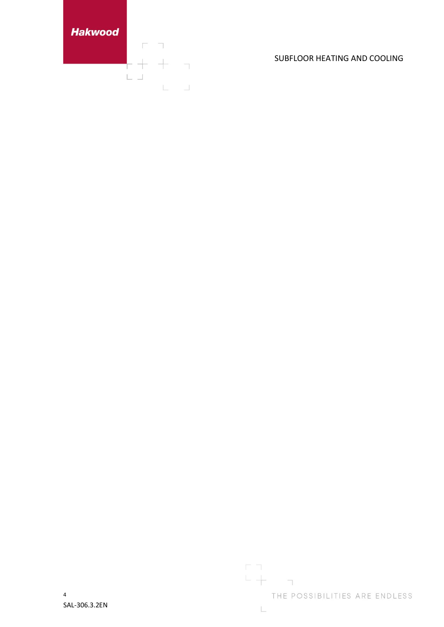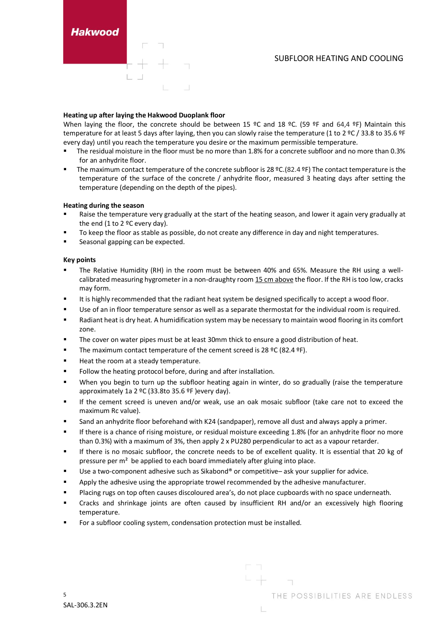## **Heating up after laying the Hakwood Duoplank floor**

When laying the floor, the concrete should be between 15 °C and 18 °C. (59 °F and 64,4 °F) Maintain this temperature for at least 5 days after laying, then you can slowly raise the temperature (1 to 2 °C / 33.8 to 35.6 °F every day) until you reach the temperature you desire or the maximum permissible temperature.

- The residual moisture in the floor must be no more than 1.8% for a concrete subfloor and no more than 0.3% for an anhydrite floor.
- The maximum contact temperature of the concrete subfloor is 28 ºC.(82.4 ºF) The contact temperature is the temperature of the surface of the concrete / anhydrite floor, measured 3 heating days after setting the temperature (depending on the depth of the pipes).

## **Heating during the season**

- Raise the temperature very gradually at the start of the heating season, and lower it again very gradually at the end (1 to 2  $°C$  every day).
- To keep the floor as stable as possible, do not create any difference in day and night temperatures.
- Seasonal gapping can be expected.

## **Key points**

- The Relative Humidity (RH) in the room must be between 40% and 65%. Measure the RH using a wellcalibrated measuring hygrometer in a non-draughty room 15 cm above the floor. If the RH is too low, cracks may form.
- It is highly recommended that the radiant heat system be designed specifically to accept a wood floor.
- Use of an in floor temperature sensor as well as a separate thermostat for the individual room is required.
- Radiant heat is dry heat. A humidification system may be necessary to maintain wood flooring in its comfort zone.
- The cover on water pipes must be at least 30mm thick to ensure a good distribution of heat.
- The maximum contact temperature of the cement screed is 28 ºC (82.4 ºF).
- Heat the room at a steady temperature.
- Follow the heating protocol before, during and after installation.
- When you begin to turn up the subfloor heating again in winter, do so gradually (raise the temperature approximately 1a 2 ºC (33.8to 35.6 ºF )every day).
- If the cement screed is uneven and/or weak, use an oak mosaic subfloor (take care not to exceed the maximum Rc value).
- Sand an anhydrite floor beforehand with K24 (sandpaper), remove all dust and always apply a primer.
- If there is a chance of rising moisture, or residual moisture exceeding 1.8% (for an anhydrite floor no more than 0.3%) with a maximum of 3%, then apply 2 x PU280 perpendicular to act as a vapour retarder.
- If there is no mosaic subfloor, the concrete needs to be of excellent quality. It is essential that 20 kg of pressure per m² be applied to each board immediately after gluing into place.
- Use a two-component adhesive such as Sikabond® or competitive– ask your supplier for advice.
- **Apply the adhesive using the appropriate trowel recommended by the adhesive manufacturer.**
- Placing rugs on top often causes discoloured area's, do not place cupboards with no space underneath.
- Cracks and shrinkage joints are often caused by insufficient RH and/or an excessively high flooring temperature.
- For a subfloor cooling system, condensation protection must be installed.